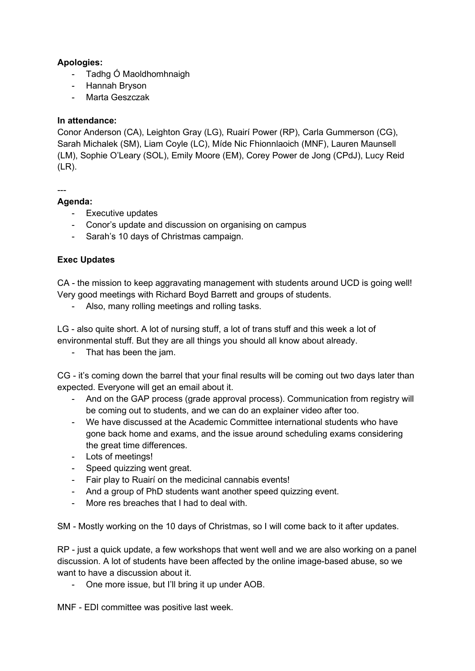# **Apologies:**

- Tadhg Ó Maoldhomhnaigh
- Hannah Bryson
- Marta Geszczak

#### **In attendance:**

Conor Anderson (CA), Leighton Gray (LG), Ruairí Power (RP), Carla Gummerson (CG), Sarah Michalek (SM), Liam Coyle (LC), Míde Nic Fhionnlaoich (MNF), Lauren Maunsell (LM), Sophie O'Leary (SOL), Emily Moore (EM), Corey Power de Jong (CPdJ), Lucy Reid  $(LR)$ .

---

# **Agenda:**

- Executive updates
- Conor's update and discussion on organising on campus
- Sarah's 10 days of Christmas campaign.

# **Exec Updates**

CA - the mission to keep aggravating management with students around UCD is going well! Very good meetings with Richard Boyd Barrett and groups of students.

- Also, many rolling meetings and rolling tasks.

LG - also quite short. A lot of nursing stuff, a lot of trans stuff and this week a lot of environmental stuff. But they are all things you should all know about already.

- That has been the jam.

CG - it's coming down the barrel that your final results will be coming out two days later than expected. Everyone will get an email about it.

- And on the GAP process (grade approval process). Communication from registry will be coming out to students, and we can do an explainer video after too.
- We have discussed at the Academic Committee international students who have gone back home and exams, and the issue around scheduling exams considering the great time differences.
- Lots of meetings!
- Speed quizzing went great.
- Fair play to Ruairí on the medicinal cannabis events!
- And a group of PhD students want another speed quizzing event.
- More res breaches that I had to deal with.

SM - Mostly working on the 10 days of Christmas, so I will come back to it after updates.

RP - just a quick update, a few workshops that went well and we are also working on a panel discussion. A lot of students have been affected by the online image-based abuse, so we want to have a discussion about it.

- One more issue, but I'll bring it up under AOB.

MNF - EDI committee was positive last week.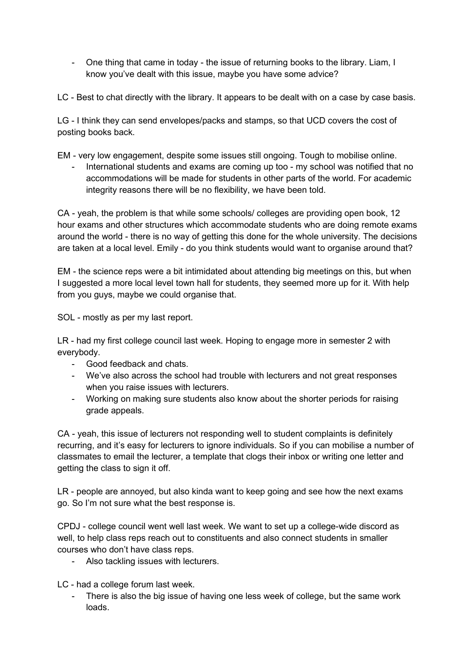- One thing that came in today - the issue of returning books to the library. Liam, I know you've dealt with this issue, maybe you have some advice?

LC - Best to chat directly with the library. It appears to be dealt with on a case by case basis.

LG - I think they can send envelopes/packs and stamps, so that UCD covers the cost of posting books back.

EM - very low engagement, despite some issues still ongoing. Tough to mobilise online.

- International students and exams are coming up too - my school was notified that no accommodations will be made for students in other parts of the world. For academic integrity reasons there will be no flexibility, we have been told.

CA - yeah, the problem is that while some schools/ colleges are providing open book, 12 hour exams and other structures which accommodate students who are doing remote exams around the world - there is no way of getting this done for the whole university. The decisions are taken at a local level. Emily - do you think students would want to organise around that?

EM - the science reps were a bit intimidated about attending big meetings on this, but when I suggested a more local level town hall for students, they seemed more up for it. With help from you guys, maybe we could organise that.

SOL - mostly as per my last report.

LR - had my first college council last week. Hoping to engage more in semester 2 with everybody.

- Good feedback and chats.
- We've also across the school had trouble with lecturers and not great responses when you raise issues with lecturers.
- Working on making sure students also know about the shorter periods for raising grade appeals.

CA - yeah, this issue of lecturers not responding well to student complaints is definitely recurring, and it's easy for lecturers to ignore individuals. So if you can mobilise a number of classmates to email the lecturer, a template that clogs their inbox or writing one letter and getting the class to sign it off.

LR - people are annoyed, but also kinda want to keep going and see how the next exams go. So I'm not sure what the best response is.

CPDJ - college council went well last week. We want to set up a college-wide discord as well, to help class reps reach out to constituents and also connect students in smaller courses who don't have class reps.

- Also tackling issues with lecturers.

LC - had a college forum last week.

There is also the big issue of having one less week of college, but the same work loads.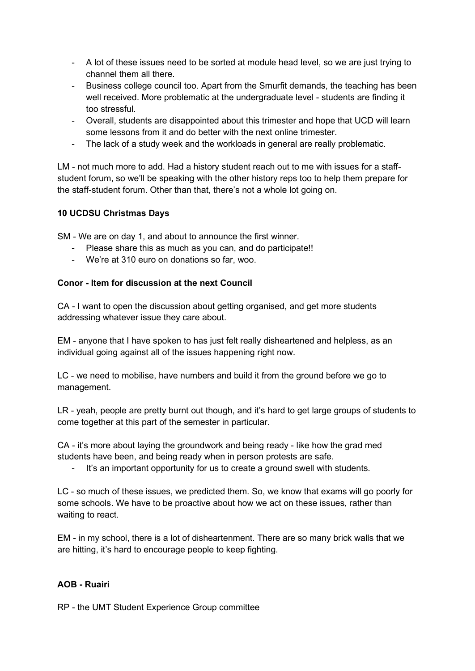- A lot of these issues need to be sorted at module head level, so we are just trying to channel them all there.
- Business college council too. Apart from the Smurfit demands, the teaching has been well received. More problematic at the undergraduate level - students are finding it too stressful.
- Overall, students are disappointed about this trimester and hope that UCD will learn some lessons from it and do better with the next online trimester.
- The lack of a study week and the workloads in general are really problematic.

LM - not much more to add. Had a history student reach out to me with issues for a staffstudent forum, so we'll be speaking with the other history reps too to help them prepare for the staff-student forum. Other than that, there's not a whole lot going on.

# **10 UCDSU Christmas Days**

SM - We are on day 1, and about to announce the first winner.

- Please share this as much as you can, and do participate!!
- We're at 310 euro on donations so far, woo.

#### **Conor - Item for discussion at the next Council**

CA - I want to open the discussion about getting organised, and get more students addressing whatever issue they care about.

EM - anyone that I have spoken to has just felt really disheartened and helpless, as an individual going against all of the issues happening right now.

LC - we need to mobilise, have numbers and build it from the ground before we go to management.

LR - yeah, people are pretty burnt out though, and it's hard to get large groups of students to come together at this part of the semester in particular.

CA - it's more about laying the groundwork and being ready - like how the grad med students have been, and being ready when in person protests are safe.

- It's an important opportunity for us to create a ground swell with students.

LC - so much of these issues, we predicted them. So, we know that exams will go poorly for some schools. We have to be proactive about how we act on these issues, rather than waiting to react.

EM - in my school, there is a lot of disheartenment. There are so many brick walls that we are hitting, it's hard to encourage people to keep fighting.

#### **AOB - Ruairi**

RP - the UMT Student Experience Group committee